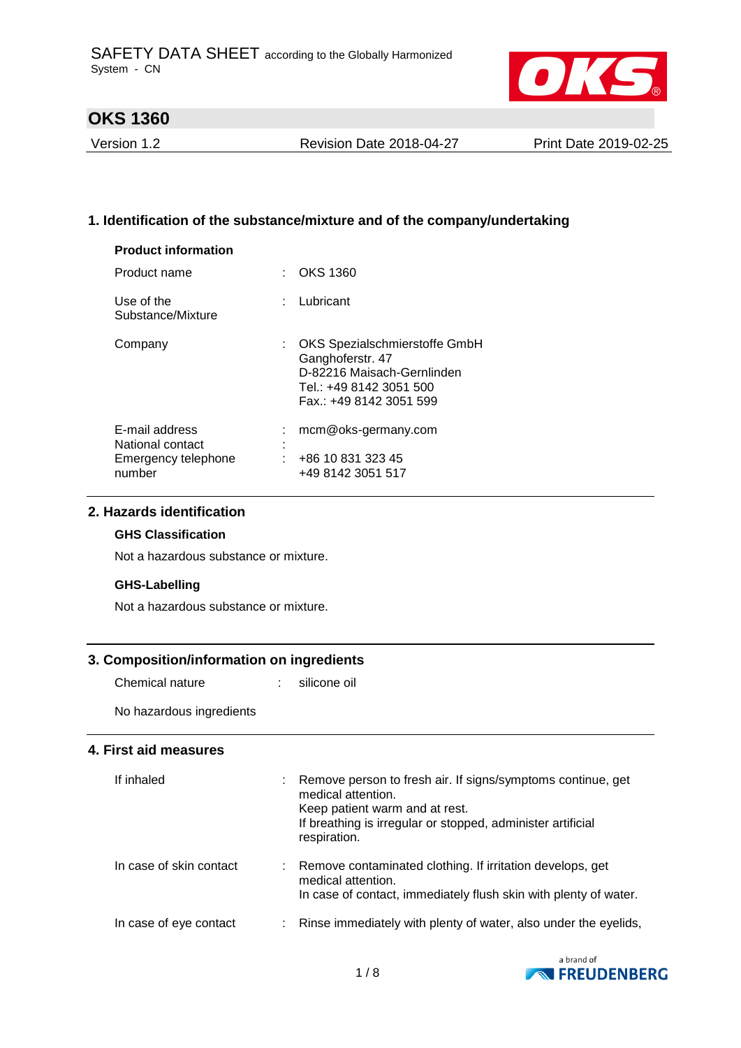

Version 1.2 Revision Date 2018-04-27 Print Date 2019-02-25

## **1. Identification of the substance/mixture and of the company/undertaking**

| <b>Product information</b>                                          |                                                                                                                                         |
|---------------------------------------------------------------------|-----------------------------------------------------------------------------------------------------------------------------------------|
| Product name                                                        | OKS 1360                                                                                                                                |
| Use of the<br>Substance/Mixture                                     | : Lubricant                                                                                                                             |
| Company                                                             | : OKS Spezialschmierstoffe GmbH<br>Ganghoferstr. 47<br>D-82216 Maisach-Gernlinden<br>Tel.: +49 8142 3051 500<br>Fax.: +49 8142 3051 599 |
| E-mail address<br>National contact<br>Emergency telephone<br>number | mcm@oks-germany.com<br>+86 10 831 323 45<br>+49 8142 3051 517                                                                           |

## **2. Hazards identification**

### **GHS Classification**

Not a hazardous substance or mixture.

### **GHS-Labelling**

Not a hazardous substance or mixture.

### **3. Composition/information on ingredients**

Chemical nature : silicone oil

No hazardous ingredients

## **4. First aid measures**

| If inhaled              | Remove person to fresh air. If signs/symptoms continue, get<br>medical attention.<br>Keep patient warm and at rest.<br>If breathing is irregular or stopped, administer artificial<br>respiration. |
|-------------------------|----------------------------------------------------------------------------------------------------------------------------------------------------------------------------------------------------|
| In case of skin contact | Remove contaminated clothing. If irritation develops, get<br>medical attention.<br>In case of contact, immediately flush skin with plenty of water.                                                |
| In case of eye contact  | Rinse immediately with plenty of water, also under the eyelids,                                                                                                                                    |

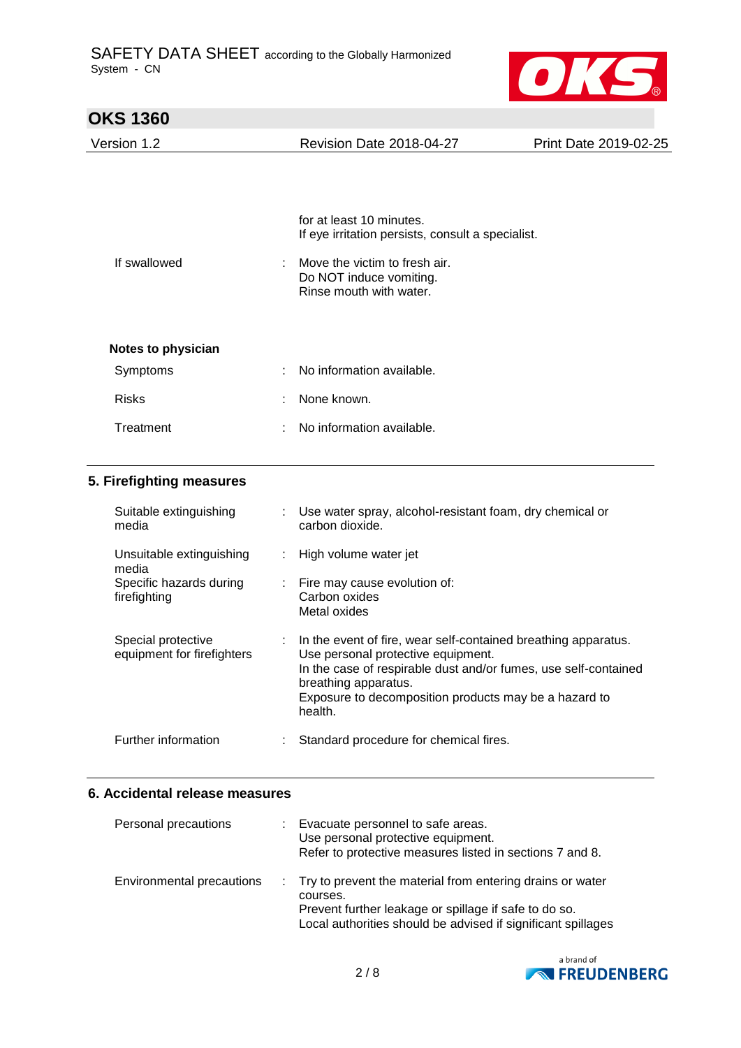

| <b>OKS 1360</b>           |                                                                                     |                              |
|---------------------------|-------------------------------------------------------------------------------------|------------------------------|
| Version 1.2               | <b>Revision Date 2018-04-27</b>                                                     | <b>Print Date 2019-02-25</b> |
|                           | for at least 10 minutes.                                                            |                              |
|                           | If eye irritation persists, consult a specialist.                                   |                              |
| If swallowed<br>÷         | Move the victim to fresh air.<br>Do NOT induce vomiting.<br>Rinse mouth with water. |                              |
| <b>Notes to physician</b> |                                                                                     |                              |
| Symptoms<br>۰             | No information available.                                                           |                              |
| <b>Risks</b><br>÷         | None known.                                                                         |                              |
| Treatment<br>٠            | No information available.                                                           |                              |

## **5. Firefighting measures**

| Suitable extinguishing<br>media                  | Use water spray, alcohol-resistant foam, dry chemical or<br>carbon dioxide.                                                                                                                                                                                           |
|--------------------------------------------------|-----------------------------------------------------------------------------------------------------------------------------------------------------------------------------------------------------------------------------------------------------------------------|
| Unsuitable extinguishing<br>media                | : High volume water jet                                                                                                                                                                                                                                               |
| Specific hazards during<br>firefighting          | $\therefore$ Fire may cause evolution of:<br>Carbon oxides<br>Metal oxides                                                                                                                                                                                            |
| Special protective<br>equipment for firefighters | : In the event of fire, wear self-contained breathing apparatus.<br>Use personal protective equipment.<br>In the case of respirable dust and/or fumes, use self-contained<br>breathing apparatus.<br>Exposure to decomposition products may be a hazard to<br>health. |
| Further information                              | Standard procedure for chemical fires.                                                                                                                                                                                                                                |

### **6. Accidental release measures**

| Personal precautions      | : Evacuate personnel to safe areas.<br>Use personal protective equipment.<br>Refer to protective measures listed in sections 7 and 8.                                                            |
|---------------------------|--------------------------------------------------------------------------------------------------------------------------------------------------------------------------------------------------|
| Environmental precautions | : Try to prevent the material from entering drains or water<br>courses.<br>Prevent further leakage or spillage if safe to do so.<br>Local authorities should be advised if significant spillages |

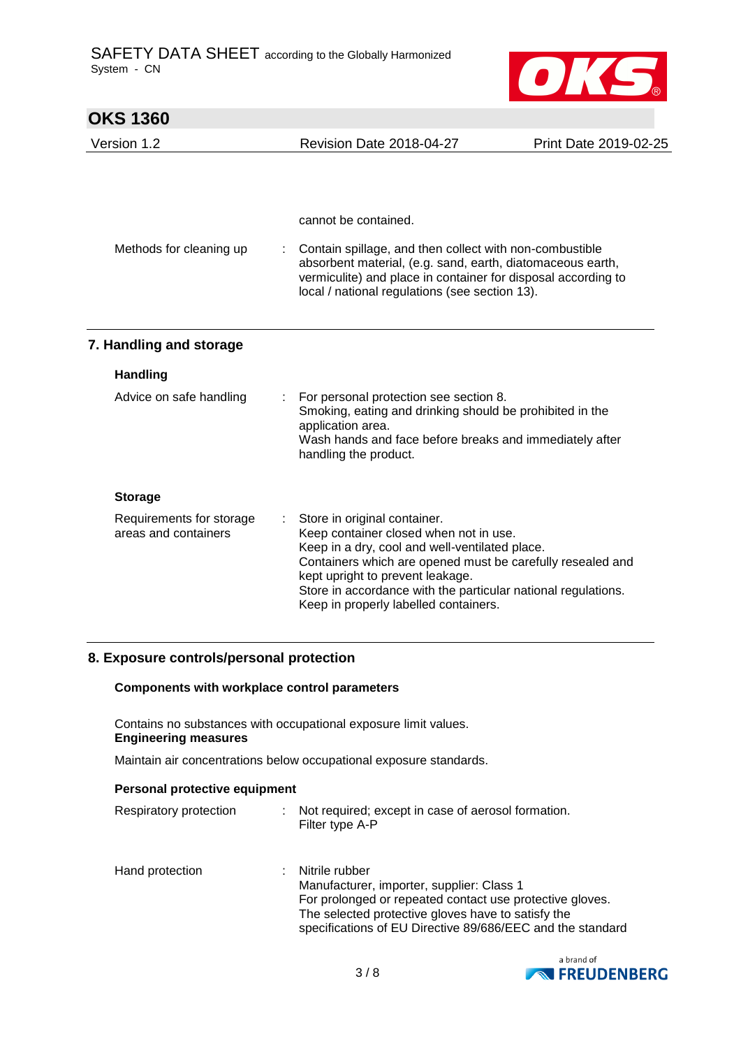

| <b>OKS 1360</b>                                  |   |                                                                                                                                                                                                                                                                                                                                      |                       |
|--------------------------------------------------|---|--------------------------------------------------------------------------------------------------------------------------------------------------------------------------------------------------------------------------------------------------------------------------------------------------------------------------------------|-----------------------|
| Version 1.2                                      |   | Revision Date 2018-04-27                                                                                                                                                                                                                                                                                                             | Print Date 2019-02-25 |
|                                                  |   |                                                                                                                                                                                                                                                                                                                                      |                       |
|                                                  |   | cannot be contained.                                                                                                                                                                                                                                                                                                                 |                       |
| Methods for cleaning up                          |   | Contain spillage, and then collect with non-combustible<br>absorbent material, (e.g. sand, earth, diatomaceous earth,<br>vermiculite) and place in container for disposal according to<br>local / national regulations (see section 13).                                                                                             |                       |
| 7. Handling and storage                          |   |                                                                                                                                                                                                                                                                                                                                      |                       |
| <b>Handling</b>                                  |   |                                                                                                                                                                                                                                                                                                                                      |                       |
| Advice on safe handling                          | ÷ | For personal protection see section 8.<br>Smoking, eating and drinking should be prohibited in the<br>application area.<br>Wash hands and face before breaks and immediately after<br>handling the product.                                                                                                                          |                       |
| <b>Storage</b>                                   |   |                                                                                                                                                                                                                                                                                                                                      |                       |
| Requirements for storage<br>areas and containers |   | Store in original container.<br>Keep container closed when not in use.<br>Keep in a dry, cool and well-ventilated place.<br>Containers which are opened must be carefully resealed and<br>kept upright to prevent leakage.<br>Store in accordance with the particular national regulations.<br>Keep in properly labelled containers. |                       |

### **8. Exposure controls/personal protection**

#### **Components with workplace control parameters**

Contains no substances with occupational exposure limit values. **Engineering measures**

Maintain air concentrations below occupational exposure standards.

| Personal protective equipment |  |                                                                         |  |
|-------------------------------|--|-------------------------------------------------------------------------|--|
| Respiratory protection        |  | : Not required; except in case of aerosol formation.<br>Filter type A-P |  |
| Hand protection               |  | Nitrile rubber                                                          |  |

| ווט טוסנפטנוטוו | <b>INILIIG LUDDEL</b>                                      |
|-----------------|------------------------------------------------------------|
|                 | Manufacturer, importer, supplier: Class 1                  |
|                 | For prolonged or repeated contact use protective gloves.   |
|                 | The selected protective gloves have to satisfy the         |
|                 | specifications of EU Directive 89/686/EEC and the standard |
|                 |                                                            |

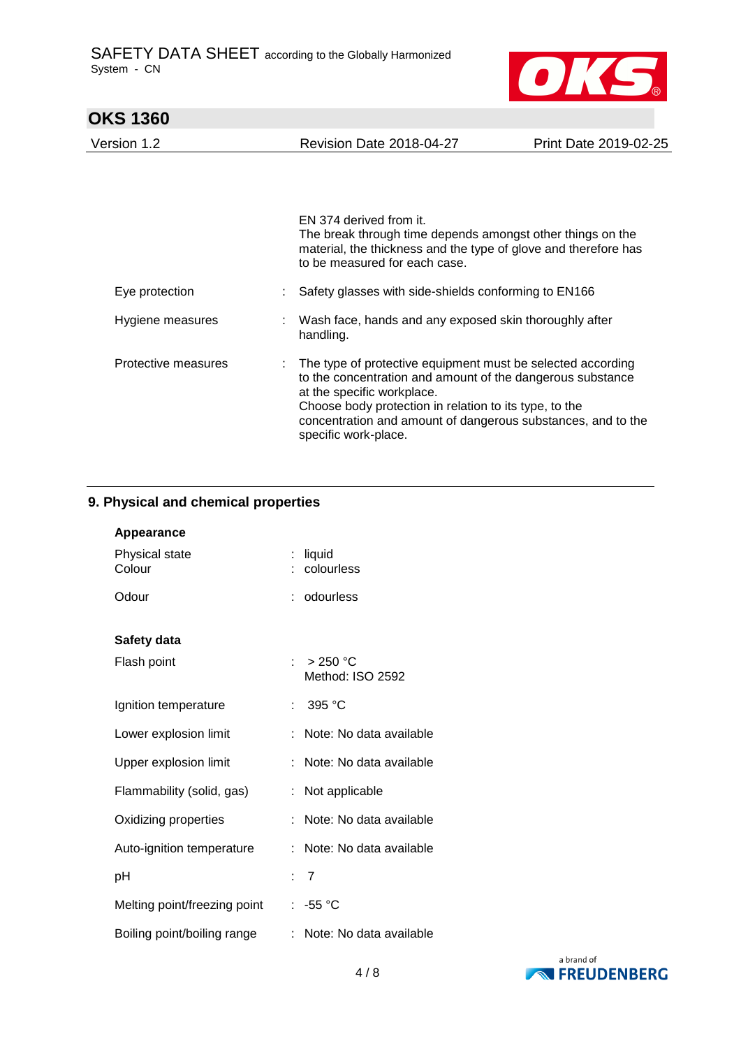

# **OKS 1360**  Version 1.2 Revision Date 2018-04-27 Print Date 2019-02-25 EN 374 derived from it. The break through time depends amongst other things on the material, the thickness and the type of glove and therefore has to be measured for each case. Eye protection : Safety glasses with side-shields conforming to EN166 Hygiene measures : Wash face, hands and any exposed skin thoroughly after handling. Protective measures : The type of protective equipment must be selected according to the concentration and amount of the dangerous substance at the specific workplace. Choose body protection in relation to its type, to the concentration and amount of dangerous substances, and to the specific work-place.

## **9. Physical and chemical properties**

| <b>Appearance</b>            |                                        |
|------------------------------|----------------------------------------|
| Physical state<br>Colour     | liquid<br>colourless                   |
| Odour                        | : odourless                            |
| Safety data                  |                                        |
| Flash point                  | : $>250^{\circ}$ C<br>Method: ISO 2592 |
| Ignition temperature         | 395 °C<br>t.                           |
| Lower explosion limit        | Note: No data available<br>÷.          |
| Upper explosion limit        | Note: No data available<br>÷.          |
| Flammability (solid, gas)    | Not applicable<br>t.                   |
| Oxidizing properties         | : Note: No data available              |
| Auto-ignition temperature    | Note: No data available                |
| рH                           | :7                                     |
| Melting point/freezing point | $: -55 °C$                             |
| Boiling point/boiling range  | : Note: No data available              |

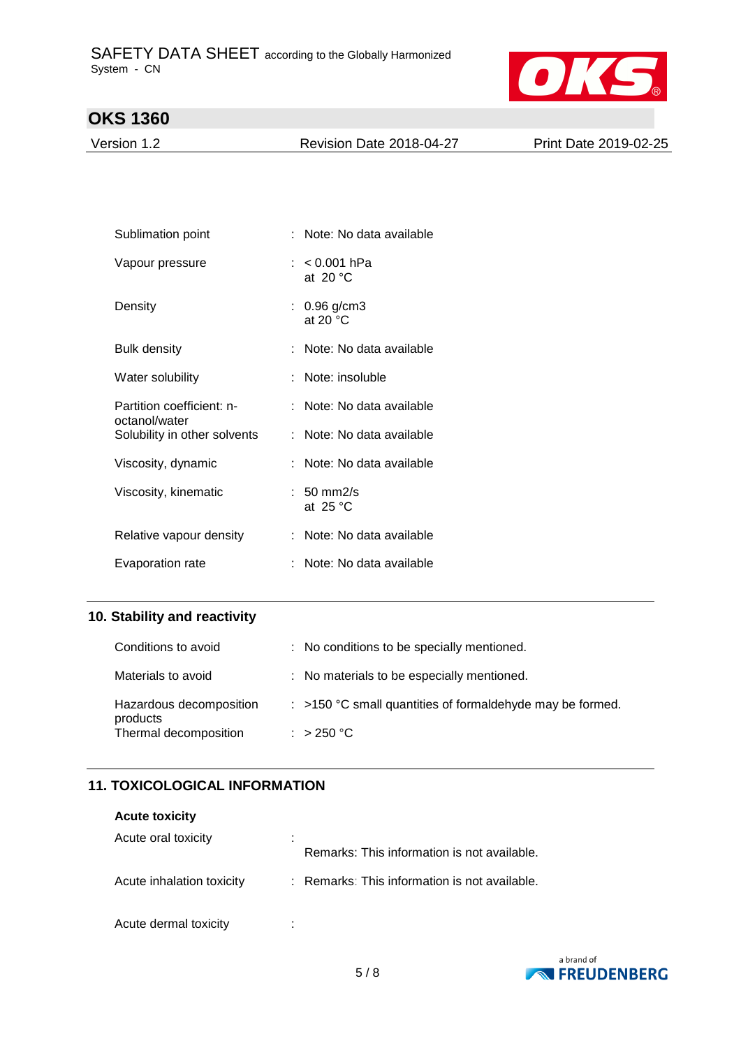

Version 1.2 Revision Date 2018-04-27 Print Date 2019-02-25

| Sublimation point                          | : Note: No data available           |
|--------------------------------------------|-------------------------------------|
| Vapour pressure                            | : <0.001 hPa<br>at 20 $\degree$ C   |
| Density                                    | : $0.96$ g/cm3<br>at 20 $\degree$ C |
| Bulk density                               | : Note: No data available           |
| Water solubility                           | Note: insoluble                     |
| Partition coefficient: n-<br>octanol/water | : Note: No data available           |
| Solubility in other solvents               | : Note: No data available           |
| Viscosity, dynamic                         | : Note: No data available           |
| Viscosity, kinematic                       | $: 50 \text{ mm}$ 2/s<br>at $25 °C$ |
| Relative vapour density                    | : Note: No data available           |
| Evaporation rate                           | Note: No data available             |

# **10. Stability and reactivity**

| Conditions to avoid                 | : No conditions to be specially mentioned.                  |
|-------------------------------------|-------------------------------------------------------------|
| Materials to avoid                  | : No materials to be especially mentioned.                  |
| Hazardous decomposition<br>products | $:$ >150 °C small quantities of formaldehyde may be formed. |
| Thermal decomposition               | : $>250 °C$                                                 |

## **11. TOXICOLOGICAL INFORMATION**

#### **Acute toxicity**

| Acute oral toxicity       | ٠<br>Remarks: This information is not available. |
|---------------------------|--------------------------------------------------|
| Acute inhalation toxicity | : Remarks: This information is not available.    |
| Acute dermal toxicity     |                                                  |

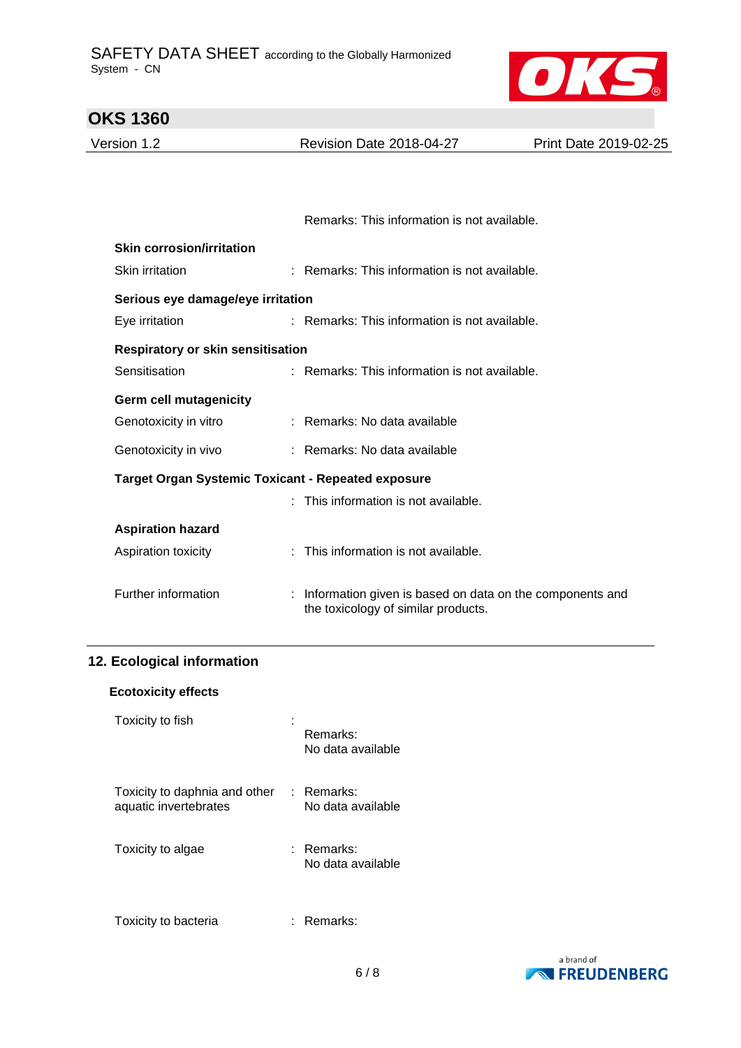

| <b>OKS 1360</b>                                           |                                                                                                   |                       |
|-----------------------------------------------------------|---------------------------------------------------------------------------------------------------|-----------------------|
| Version 1.2                                               | <b>Revision Date 2018-04-27</b>                                                                   | Print Date 2019-02-25 |
|                                                           |                                                                                                   |                       |
|                                                           |                                                                                                   |                       |
|                                                           | Remarks: This information is not available.                                                       |                       |
| <b>Skin corrosion/irritation</b>                          |                                                                                                   |                       |
| Skin irritation                                           | : Remarks: This information is not available.                                                     |                       |
| Serious eye damage/eye irritation                         |                                                                                                   |                       |
| Eye irritation                                            | : Remarks: This information is not available.                                                     |                       |
| <b>Respiratory or skin sensitisation</b>                  |                                                                                                   |                       |
| Sensitisation                                             | : Remarks: This information is not available.                                                     |                       |
| <b>Germ cell mutagenicity</b>                             |                                                                                                   |                       |
| Genotoxicity in vitro                                     | : Remarks: No data available                                                                      |                       |
| Genotoxicity in vivo                                      | : Remarks: No data available                                                                      |                       |
| <b>Target Organ Systemic Toxicant - Repeated exposure</b> |                                                                                                   |                       |
|                                                           | This information is not available.                                                                |                       |
| <b>Aspiration hazard</b>                                  |                                                                                                   |                       |
| Aspiration toxicity                                       | This information is not available.                                                                |                       |
|                                                           |                                                                                                   |                       |
| Further information                                       | : Information given is based on data on the components and<br>the toxicology of similar products. |                       |
|                                                           |                                                                                                   |                       |

## **12. Ecological information**

| <b>Ecotoxicity effects</b> |  |
|----------------------------|--|
|----------------------------|--|

| Toxicity to fish                                       | Remarks:<br>No data available   |
|--------------------------------------------------------|---------------------------------|
| Toxicity to daphnia and other<br>aquatic invertebrates | : Remarks:<br>No data available |
| Toxicity to algae                                      | : Remarks:<br>No data available |
| Toxicity to bacteria                                   | Remarks:                        |

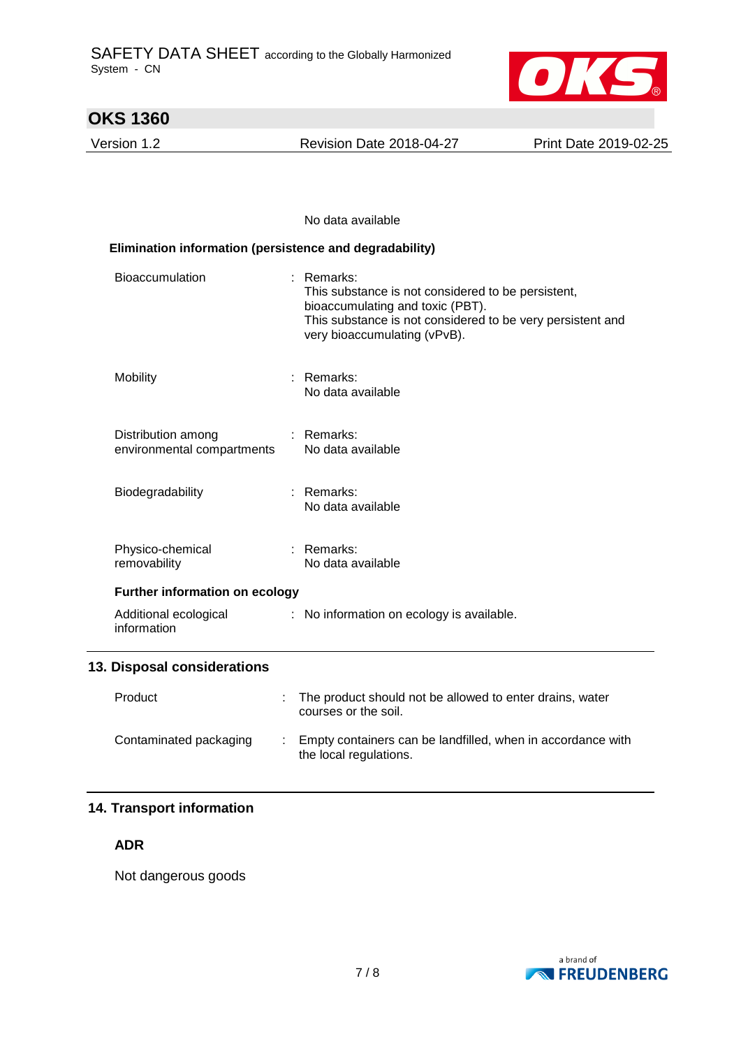

Version 1.2 Revision Date 2018-04-27 Print Date 2019-02-25

#### No data available

| Elimination information (persistence and degradability) |                                                                                                                                                                                                  |  |  |  |
|---------------------------------------------------------|--------------------------------------------------------------------------------------------------------------------------------------------------------------------------------------------------|--|--|--|
| <b>Bioaccumulation</b>                                  | Remarks:<br>This substance is not considered to be persistent,<br>bioaccumulating and toxic (PBT).<br>This substance is not considered to be very persistent and<br>very bioaccumulating (vPvB). |  |  |  |
| Mobility                                                | $:$ Remarks:<br>No data available                                                                                                                                                                |  |  |  |
| Distribution among<br>environmental compartments        | : Remarks:<br>No data available                                                                                                                                                                  |  |  |  |
| Biodegradability                                        | $:$ Remarks:<br>No data available                                                                                                                                                                |  |  |  |
| Physico-chemical<br>removability                        | $:$ Remarks:<br>No data available                                                                                                                                                                |  |  |  |
| <b>Further information on ecology</b>                   |                                                                                                                                                                                                  |  |  |  |
| Additional ecological<br>information                    | : No information on ecology is available.                                                                                                                                                        |  |  |  |
| 13. Disposal considerations                             |                                                                                                                                                                                                  |  |  |  |
| Product                                                 | The product should not be allowed to enter drains, water<br>courses or the soil.                                                                                                                 |  |  |  |
| Contaminated packaging                                  | Empty containers can be landfilled, when in accordance with<br>the local regulations.                                                                                                            |  |  |  |

## **14. Transport information**

**ADR**

Not dangerous goods